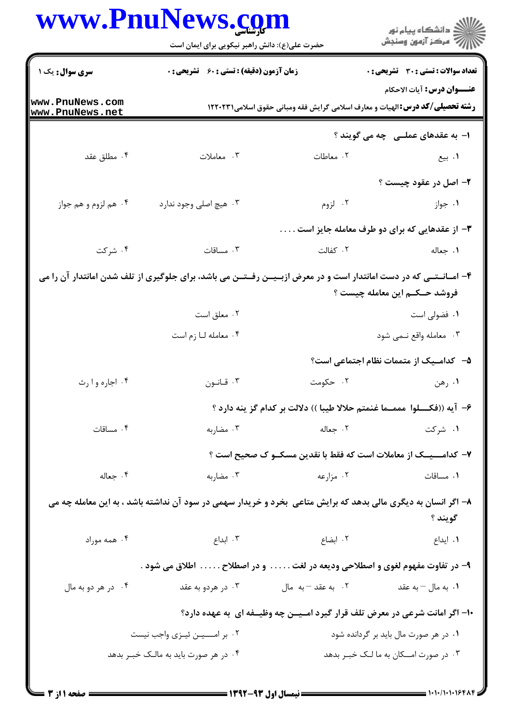|                                    | <b>www.PnuNews.co</b><br>حضرت علی(ع): دانش راهبر نیکویی برای ایمان است                                                 |                                                                                           | ڪ دانشڪاه پيا <sub>م</sub> نور<br>۾ سرڪز آزمون وسنڊش                                                                      |  |
|------------------------------------|------------------------------------------------------------------------------------------------------------------------|-------------------------------------------------------------------------------------------|---------------------------------------------------------------------------------------------------------------------------|--|
| سری سوال: یک ۱                     | <b>زمان آزمون (دقیقه) : تستی : 60 ٪ تشریحی : 0</b>                                                                     |                                                                                           | تعداد سوالات : تستى : 30 - تشريحي : 0                                                                                     |  |
| www.PnuNews.com<br>www.PnuNews.net |                                                                                                                        |                                                                                           | <b>عنـــوان درس:</b> آيات الاحكام<br><b>رشته تحصیلی/کد درس:</b> الهیات و معارف اسلامی گرایش فقه ومبانی حقوق اسلامی۱۲۲۰۲۳۱ |  |
|                                    |                                                                                                                        |                                                                                           | ۱– به عقدهای عملــی۔چه می گویند ؟                                                                                         |  |
| ۰۴ مطلق عقد                        | ۰۳ معاملات                                                                                                             | ۰۲ معاطات                                                                                 | ۰۱ بیع                                                                                                                    |  |
|                                    |                                                                                                                        |                                                                                           | ۲- اصل در عقود چیست ؟                                                                                                     |  |
| ۰۴ هم لزوم و هم جواز               | ۰۳ هيچ اصلي وجود ندارد                                                                                                 | ۰۲ لزوم                                                                                   | ۰۱ جواز                                                                                                                   |  |
|                                    | ۳- از عقدهایی که برای دو طرف معامله جایز است                                                                           |                                                                                           |                                                                                                                           |  |
| ۰۴ شرکت                            | ۰۳ مساقات                                                                                                              | ۲. کفالت                                                                                  | ۰۱ جعاله                                                                                                                  |  |
|                                    | ۴- امــانــتــی که در دست امانتدار است و در معرض ازبــیــن رفــتــن می باشد، برای جلوگیری از تلف شدن امانتدار آن را می |                                                                                           |                                                                                                                           |  |
|                                    |                                                                                                                        |                                                                                           | فروشد حــکــم این معامله چیست ؟                                                                                           |  |
|                                    | ۰۲ معلق است                                                                                                            |                                                                                           | ۰۱ فضولی است                                                                                                              |  |
|                                    | ۰۴ معامله لـا زم است                                                                                                   |                                                                                           | ۰۳ معامله واقع نـمى شود                                                                                                   |  |
|                                    |                                                                                                                        |                                                                                           | ۵– کدامـیک از متممات نظام اجتماعی است؟                                                                                    |  |
| ۰۴ اجاره وا رث                     | ۰۳ قـانـون                                                                                                             | ۰۲ حکومت                                                                                  | ۰۱ رهن                                                                                                                    |  |
|                                    |                                                                                                                        |                                                                                           | ۶– آيه ((فكــــلوا مممـــما غنمتم حلالا طيبا )) دلالت بر كدام گز ينه دارد ؟                                               |  |
| ۰۴ مساقات                          | ۰۳ مضاربه                                                                                                              | $\sim$ 7. جعاله                                                                           | ۰۱ شرکت                                                                                                                   |  |
|                                    |                                                                                                                        |                                                                                           | ۷– کدامـــیــک از معاملات است که فقط با نقدین مسکــو ک صحیح است ؟                                                         |  |
| ۰۴ جعاله                           | ۰۳ مضاربه                                                                                                              | ۰۲ مزارعه میشود. استفاده باشد و سال                                                       | ٠١. مساقات                                                                                                                |  |
|                                    | ۸– اگر انسان به دیگری مالی بدهد که برایش متاعی بخرد و خریدار سهمی در سود آن نداشته باشد ، به این معامله چه می          |                                                                                           | گويند ؟                                                                                                                   |  |
|                                    | ۲. ابضاع موراد ۲۰۰۳ تا ۲۰۰۹ ابداع می در ۲۰۰۳ تا ۲۰۰۹ میله موراد ۲۰۰                                                    |                                                                                           | ۰۱ ایداع                                                                                                                  |  |
|                                    | ۹– در تفاوت مفهوم لغوی و اصطلاحی ودیعه در لغت و در اصطلاح اطلاق می شود .                                               |                                                                                           |                                                                                                                           |  |
| ۰۴ در هر دو به مال                 |                                                                                                                        | ۰۱ به مال $-$ به عقد $\sim$ ۲۰۰ به عقد $-\mu$ ۰۲ به مال هاست به مال در هردو به عقد $\sim$ |                                                                                                                           |  |
|                                    |                                                                                                                        |                                                                                           | ۱۰– اگر امانت شرعی در معرض تلف قرار گیرد امـیــن چه وظیــفه ای  به عهده دارد؟                                             |  |
|                                    | ۰۲ بر امـــیـن ئیـزی واجب نیست                                                                                         |                                                                                           | ۰۱ در هر صورت مال باید بر گردانده شود                                                                                     |  |
|                                    | ۰۴ در هر صورت باید به مالـک خبـر بدهد                                                                                  |                                                                                           | ۰۳ در صورت امـــکان به ما لــک خبــر بدهد                                                                                 |  |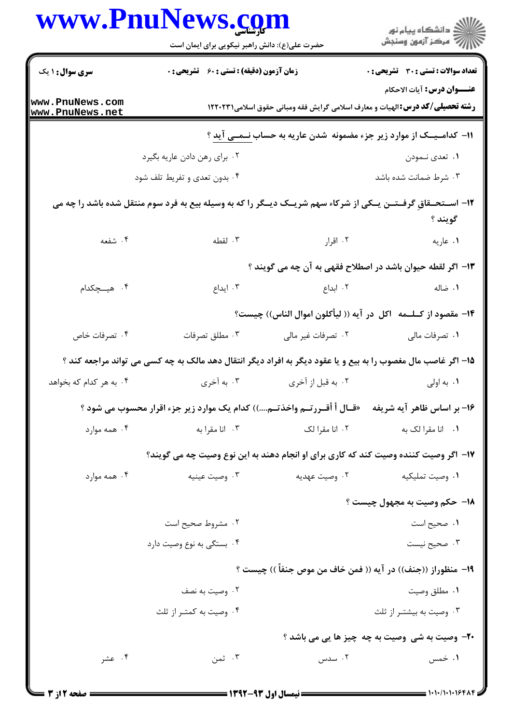|                                    | www.rnurews. <u>co</u> m<br>حضرت علی(ع): دانش راهبر نیکویی برای ایمان است                                         |                    | ڪ دانشڪاه پيام نور<br>∕7 مرڪز آزمون وسنڊش                                               |
|------------------------------------|-------------------------------------------------------------------------------------------------------------------|--------------------|-----------------------------------------------------------------------------------------|
| <b>سری سوال :</b> ۱ یک             | <b>زمان آزمون (دقیقه) : تستی : 60 ٪ تشریحی : 0</b>                                                                |                    | تعداد سوالات : تستي : 30 ٪ تشريحي : 0<br><b>عنـــوان درس:</b> آیات الاحکام              |
| www.PnuNews.com<br>www.PnuNews.net |                                                                                                                   |                    | <b>رشته تحصیلی/کد درس: ا</b> لهیات و معارف اسلامی گرایش فقه ومبانی حقوق اسلامی۲۲۰۲۳۱ ۱۲ |
|                                    |                                                                                                                   |                    | <b>۱۱- کدامـیــک از موارد زیر جزء مضمونه  شدن عاریه به حساب <u>نــمــی</u> آید ؟</b>    |
|                                    | ۰۲ برای رهن دادن عاریه بگیرد                                                                                      |                    | ۰۱ تعدی نـمودن                                                                          |
|                                    | ۰۴ بدون تعدی و تفریط تلف شود                                                                                      |                    | ۰۳ شرط ضمانت شده باشد                                                                   |
|                                    | ۱۲- اســتحــقاقِ گرفــتــن یــکی از شرکاء سهم شریــک دیــگر را که به وسیله بیع به فرد سوم منتقل شده باشد را چه می |                    | گويند ؟                                                                                 |
| ۴. شفعه                            | ۰۳ لقطه                                                                                                           | ۰۲ اقرار           | ٠١ عاريه                                                                                |
|                                    |                                                                                                                   |                    | ۱۳– اگر لقطه حیوان باشد در اصطلاح فقهی به آن چه می گویند ؟                              |
| ۴. هیـــچکدام                      | ۰۳ ایداع                                                                                                          | ۰۲ ابداع           | ۰۱ ضاله                                                                                 |
|                                    |                                                                                                                   |                    | ۱۴– مقصود از کــلـــمه   اکل  در آیه (( لیأکلون اموال الناس)) چیست؟                     |
| ۰۴ تصرفات خاص                      | ۰۳ مطلق تصرفات                                                                                                    | ۰۲ تصرفات غیر مالی | ۰۱ تصرفات مالی                                                                          |
|                                    | ۱۵– اگر غاصب مال مغصوب را به بیع و یا عقود دیگر به افراد دیگر انتقال دهد مالک به چه کسی می تواند مراجعه کند ؟     |                    |                                                                                         |
| ۰۴ به هر کدام که بخواهد            | ۰۳ به آخری                                                                                                        | ۰۲ به قبل از آخری  | ۰۱ به اولی                                                                              |

۱۶- بر اساس ظاهر آیه شریفه × «قـال أ أقــررتــم واخذتــم....)) كدام یک موارد زیر جزء اقرار محسوب می شود ؟ ۰۳ انا مقرا به ۰۱ انا مقرا لک به مسلم ۲۰ انا مقرا لک ۰۴ همه موارد

۱۷– اگر وصیت کننده وصیت کند که کاری برای او انجام دهند به این نوع وصیت چه می گویند؟

۰۱ وصیت تملیکیه ۰۲ وصیت عهدیه ۰۴ همه موارد ۰۳ وصیت عینیه 1۸- حکم وصيت به مجهول چيست ؟ ٠١ صحيح است ۰۲ مشروط صحیح است ۰۴ بستگی به نوع وصیت دارد ۰۳ صحیح نیست ١٩- منظوراز ((جنف)) در آيه (( فمن خاف من موص جنفاً )) چيست ؟ ۰۲ وصیت به نصف ٠١ مطلق وصيت ۰۳ وصیت به بیشتـر از ثلث ۰۴ وصیت به کمتـر از ثلث **٢٠**- وصيت به شي وصيت به چه چيز ها يي مي باشد ؟ ۱. خمس ۰۴ عشر ۰۳ ثمن ۰۲ سدس

N T